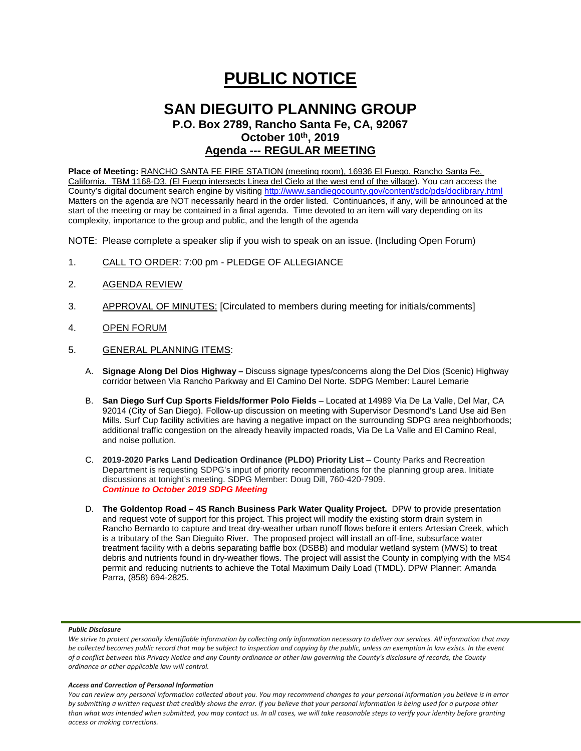# **PUBLIC NOTICE**

# **SAN DIEGUITO PLANNING GROUP**

**P.O. Box 2789, Rancho Santa Fe, CA, 92067 October 10th, 2019 Agenda --- REGULAR MEETING**

**Place of Meeting:** RANCHO SANTA FE FIRE STATION (meeting room), 16936 El Fuego, Rancho Santa Fe, California. TBM 1168-D3, (El Fuego intersects Linea del Cielo at the west end of the village). You can access the County's digital document search engine by visitin[g http://www.sandiegocounty.gov/content/sdc/pds/doclibrary.html](http://www.sandiegocounty.gov/content/sdc/pds/doclibrary.html) Matters on the agenda are NOT necessarily heard in the order listed. Continuances, if any, will be announced at the start of the meeting or may be contained in a final agenda. Time devoted to an item will vary depending on its complexity, importance to the group and public, and the length of the agenda

NOTE: Please complete a speaker slip if you wish to speak on an issue. (Including Open Forum)

- 1. CALL TO ORDER: 7:00 pm PLEDGE OF ALLEGIANCE
- 2. AGENDA REVIEW
- 3. APPROVAL OF MINUTES: [Circulated to members during meeting for initials/comments]
- 4. OPEN FORUM
- 5. GENERAL PLANNING ITEMS:
	- A. **Signage Along Del Dios Highway –** Discuss signage types/concerns along the Del Dios (Scenic) Highway corridor between Via Rancho Parkway and El Camino Del Norte. SDPG Member: Laurel Lemarie
	- B. **San Diego Surf Cup Sports Fields/former Polo Fields** Located at 14989 Via De La Valle, Del Mar, CA 92014 (City of San Diego). Follow-up discussion on meeting with Supervisor Desmond's Land Use aid Ben Mills. Surf Cup facility activities are having a negative impact on the surrounding SDPG area neighborhoods; additional traffic congestion on the already heavily impacted roads, Via De La Valle and El Camino Real, and noise pollution.
	- C. **2019-2020 Parks Land Dedication Ordinance (PLDO) Priority List** County Parks and Recreation Department is requesting SDPG's input of priority recommendations for the planning group area. Initiate discussions at tonight's meeting. SDPG Member: Doug Dill, 760-420-7909. *Continue to October 2019 SDPG Meeting*
	- D. **The Goldentop Road – 4S Ranch Business Park Water Quality Project.** DPW to provide presentation and request vote of support for this project. This project will modify the existing storm drain system in Rancho Bernardo to capture and treat dry-weather urban runoff flows before it enters Artesian Creek, which is a tributary of the San Dieguito River. The proposed project will install an off-line, subsurface water treatment facility with a debris separating baffle box (DSBB) and modular wetland system (MWS) to treat debris and nutrients found in dry-weather flows. The project will assist the County in complying with the MS4 permit and reducing nutrients to achieve the Total Maximum Daily Load (TMDL). DPW Planner: Amanda Parra, (858) 694-2825.

## *Public Disclosure*

#### *Access and Correction of Personal Information*

*You can review any personal information collected about you. You may recommend changes to your personal information you believe is in error by submitting a written request that credibly shows the error. If you believe that your personal information is being used for a purpose other than what was intended when submitted, you may contact us. In all cases, we will take reasonable steps to verify your identity before granting access or making corrections.*

We strive to protect personally identifiable information by collecting only information necessary to deliver our services. All information that may *be collected becomes public record that may be subject to inspection and copying by the public, unless an exemption in law exists. In the event of a conflict between this Privacy Notice and any County ordinance or other law governing the County's disclosure of records, the County ordinance or other applicable law will control.*